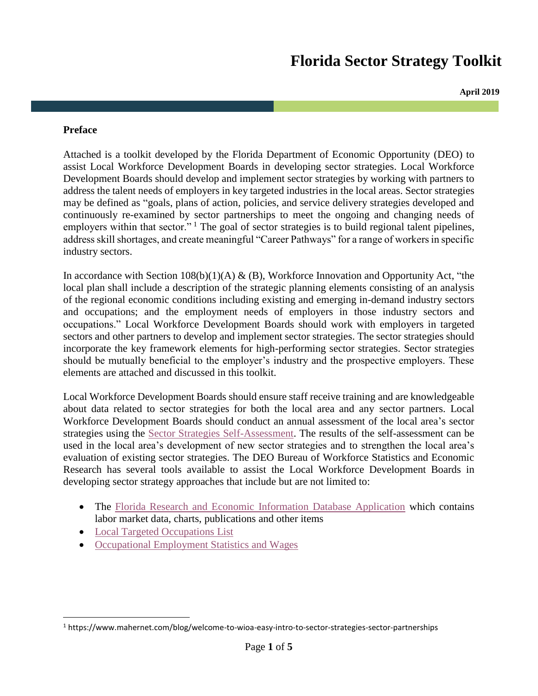# **Florida Sector Strategy Toolkit**

**April 2019**

#### **Preface**

Attached is a toolkit developed by the Florida Department of Economic Opportunity (DEO) to assist Local Workforce Development Boards in developing sector strategies. Local Workforce Development Boards should develop and implement sector strategies by working with partners to address the talent needs of employers in key targeted industries in the local areas. Sector strategies may be defined as "goals, plans of action, policies, and service delivery strategies developed and continuously re-examined by sector partnerships to meet the ongoing and changing needs of employers within that sector."  $\frac{1}{1}$  The goal of sector strategies is to build regional talent pipelines, address skill shortages, and create meaningful "Career Pathways" for a range of workers in specific industry sectors.

In accordance with Section  $108(b)(1)(A) & (B)$ , Workforce Innovation and Opportunity Act, "the local plan shall include a description of the strategic planning elements consisting of an analysis of the regional economic conditions including existing and emerging in-demand industry sectors and occupations; and the employment needs of employers in those industry sectors and occupations." Local Workforce Development Boards should work with employers in targeted sectors and other partners to develop and implement sector strategies. The sector strategies should incorporate the key framework elements for high-performing sector strategies. Sector strategies should be mutually beneficial to the employer's industry and the prospective employers. These elements are attached and discussed in this toolkit.

Local Workforce Development Boards should ensure staff receive training and are knowledgeable about data related to sector strategies for both the local area and any sector partners. Local Workforce Development Boards should conduct an annual assessment of the local area's sector strategies using the [Sector Strategies Self-Assessment.](https://careersourceflorida.com/wp-content/uploads/2017/02/Sector-Strategies-Self-Assessment.pdf) The results of the self-assessment can be used in the local area's development of new sector strategies and to strengthen the local area's evaluation of existing sector strategies. The DEO Bureau of Workforce Statistics and Economic Research has several tools available to assist the Local Workforce Development Boards in developing sector strategy approaches that include but are not limited to:

- The [Florida Research and Economic Information Database Application](https://freida.labormarketinfo.com/vosnet/lmi/default.aspx?pu=1&plang=E) which contains labor market data, charts, publications and other items
- [Local Targeted Occupations List](http://www.floridajobs.org/office-directory/division-of-workforce-services/workforce-programs/local-targeted-occupations-list)

 $\overline{\phantom{a}}$ 

• [Occupational Employment Statistics and Wages](https://www.bls.gov/oes/)

<sup>1</sup> https://www.mahernet.com/blog/welcome-to-wioa-easy-intro-to-sector-strategies-sector-partnerships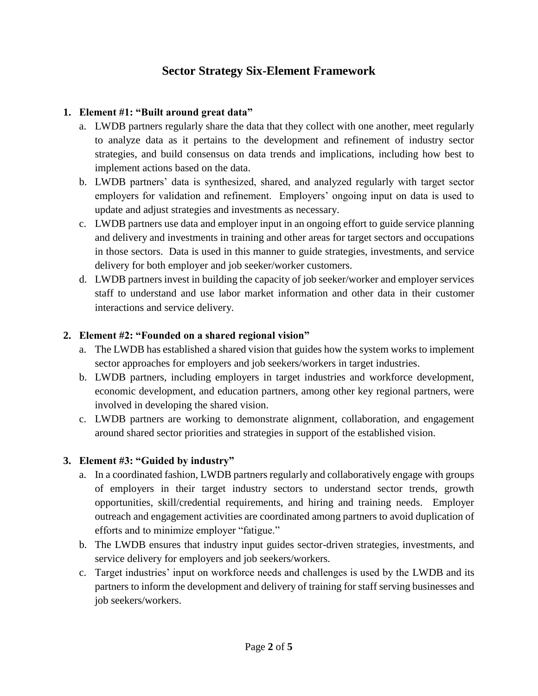# **Sector Strategy Six-Element Framework**

### **1. Element #1: "Built around great data"**

- a. LWDB partners regularly share the data that they collect with one another, meet regularly to analyze data as it pertains to the development and refinement of industry sector strategies, and build consensus on data trends and implications, including how best to implement actions based on the data.
- b. LWDB partners' data is synthesized, shared, and analyzed regularly with target sector employers for validation and refinement. Employers' ongoing input on data is used to update and adjust strategies and investments as necessary.
- c. LWDB partners use data and employer input in an ongoing effort to guide service planning and delivery and investments in training and other areas for target sectors and occupations in those sectors. Data is used in this manner to guide strategies, investments, and service delivery for both employer and job seeker/worker customers.
- d. LWDB partners invest in building the capacity of job seeker/worker and employer services staff to understand and use labor market information and other data in their customer interactions and service delivery.

### **2. Element #2: "Founded on a shared regional vision"**

- a. The LWDB has established a shared vision that guides how the system works to implement sector approaches for employers and job seekers/workers in target industries.
- b. LWDB partners, including employers in target industries and workforce development, economic development, and education partners, among other key regional partners, were involved in developing the shared vision.
- c. LWDB partners are working to demonstrate alignment, collaboration, and engagement around shared sector priorities and strategies in support of the established vision.

## **3. Element #3: "Guided by industry"**

- a. In a coordinated fashion, LWDB partners regularly and collaboratively engage with groups of employers in their target industry sectors to understand sector trends, growth opportunities, skill/credential requirements, and hiring and training needs. Employer outreach and engagement activities are coordinated among partners to avoid duplication of efforts and to minimize employer "fatigue."
- b. The LWDB ensures that industry input guides sector-driven strategies, investments, and service delivery for employers and job seekers/workers.
- c. Target industries' input on workforce needs and challenges is used by the LWDB and its partners to inform the development and delivery of training for staff serving businesses and job seekers/workers.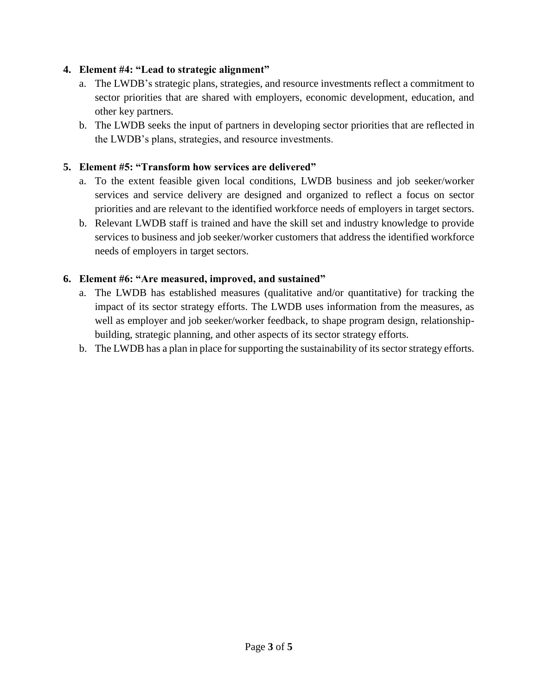#### **4. Element #4: "Lead to strategic alignment"**

- a. The LWDB's strategic plans, strategies, and resource investments reflect a commitment to sector priorities that are shared with employers, economic development, education, and other key partners.
- b. The LWDB seeks the input of partners in developing sector priorities that are reflected in the LWDB's plans, strategies, and resource investments.

#### **5. Element #5: "Transform how services are delivered"**

- a. To the extent feasible given local conditions, LWDB business and job seeker/worker services and service delivery are designed and organized to reflect a focus on sector priorities and are relevant to the identified workforce needs of employers in target sectors.
- b. Relevant LWDB staff is trained and have the skill set and industry knowledge to provide services to business and job seeker/worker customers that address the identified workforce needs of employers in target sectors.

#### **6. Element #6: "Are measured, improved, and sustained"**

- a. The LWDB has established measures (qualitative and/or quantitative) for tracking the impact of its sector strategy efforts. The LWDB uses information from the measures, as well as employer and job seeker/worker feedback, to shape program design, relationshipbuilding, strategic planning, and other aspects of its sector strategy efforts.
- b. The LWDB has a plan in place for supporting the sustainability of its sector strategy efforts.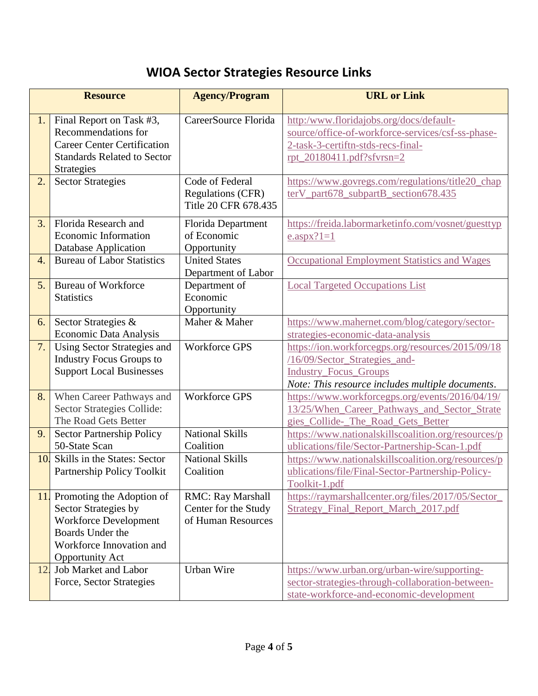# **WIOA Sector Strategies Resource Links**

| <b>Resource</b>  |                                                                                                                                                      | <b>Agency/Program</b>                                               | <b>URL</b> or Link                                                                                                                                                     |
|------------------|------------------------------------------------------------------------------------------------------------------------------------------------------|---------------------------------------------------------------------|------------------------------------------------------------------------------------------------------------------------------------------------------------------------|
| 1.               | Final Report on Task #3,<br>Recommendations for<br><b>Career Center Certification</b><br><b>Standards Related to Sector</b><br><b>Strategies</b>     | CareerSource Florida                                                | http:/www.floridajobs.org/docs/default-<br>source/office-of-workforce-services/csf-ss-phase-<br>2-task-3-certiftn-stds-recs-final-<br>rpt_20180411.pdf?sfvrsn=2        |
| 2.               | <b>Sector Strategies</b>                                                                                                                             | Code of Federal<br><b>Regulations (CFR)</b><br>Title 20 CFR 678.435 | https://www.govregs.com/regulations/title20_chap<br>terV_part678_subpartB_section678.435                                                                               |
| 3.               | Florida Research and<br><b>Economic Information</b><br>Database Application                                                                          | Florida Department<br>of Economic<br>Opportunity                    | https://freida.labormarketinfo.com/vosnet/guesttyp<br>$e.$ aspx?1=1                                                                                                    |
| $\overline{4}$ . | <b>Bureau of Labor Statistics</b>                                                                                                                    | <b>United States</b><br>Department of Labor                         | <b>Occupational Employment Statistics and Wages</b>                                                                                                                    |
| 5.               | <b>Bureau of Workforce</b><br><b>Statistics</b>                                                                                                      | Department of<br>Economic<br>Opportunity                            | <b>Local Targeted Occupations List</b>                                                                                                                                 |
| 6.               | Sector Strategies &<br>Economic Data Analysis                                                                                                        | Maher & Maher                                                       | https://www.mahernet.com/blog/category/sector-<br>strategies-economic-data-analysis                                                                                    |
| 7.               | Using Sector Strategies and<br><b>Industry Focus Groups to</b><br><b>Support Local Businesses</b>                                                    | <b>Workforce GPS</b>                                                | https://ion.workforcegps.org/resources/2015/09/18<br>/16/09/Sector_Strategies_and-<br><b>Industry_Focus_Groups</b><br>Note: This resource includes multiple documents. |
| 8.               | When Career Pathways and<br>Sector Strategies Collide:<br>The Road Gets Better                                                                       | <b>Workforce GPS</b>                                                | https://www.workforcegps.org/events/2016/04/19/<br>13/25/When Career Pathways and Sector Strate<br>gies Collide-The Road Gets Better                                   |
| 9.               | Sector Partnership Policy<br>50-State Scan                                                                                                           | <b>National Skills</b><br>Coalition                                 | https://www.nationalskillscoalition.org/resources/p<br>ublications/file/Sector-Partnership-Scan-1.pdf                                                                  |
| 10.              | Skills in the States: Sector<br>Partnership Policy Toolkit                                                                                           | <b>National Skills</b><br>Coalition                                 | https://www.nationalskillscoalition.org/resources/p<br>ublications/file/Final-Sector-Partnership-Policy-<br>Toolkit-1.pdf                                              |
| 11.              | Promoting the Adoption of<br>Sector Strategies by<br>Workforce Development<br>Boards Under the<br>Workforce Innovation and<br><b>Opportunity Act</b> | RMC: Ray Marshall<br>Center for the Study<br>of Human Resources     | https://raymarshallcenter.org/files/2017/05/Sector_<br>Strategy_Final_Report_March_2017.pdf                                                                            |
| 12.              | Job Market and Labor<br>Force, Sector Strategies                                                                                                     | Urban Wire                                                          | https://www.urban.org/urban-wire/supporting-<br>sector-strategies-through-collaboration-between-<br>state-workforce-and-economic-development                           |